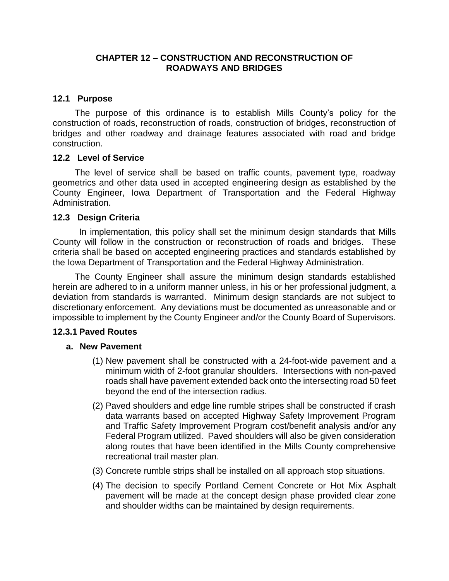#### **CHAPTER 12 – CONSTRUCTION AND RECONSTRUCTION OF ROADWAYS AND BRIDGES**

## **12.1 Purpose**

The purpose of this ordinance is to establish Mills County's policy for the construction of roads, reconstruction of roads, construction of bridges, reconstruction of bridges and other roadway and drainage features associated with road and bridge construction.

#### **12.2 Level of Service**

The level of service shall be based on traffic counts, pavement type, roadway geometrics and other data used in accepted engineering design as established by the County Engineer, Iowa Department of Transportation and the Federal Highway Administration.

#### **12.3 Design Criteria**

In implementation, this policy shall set the minimum design standards that Mills County will follow in the construction or reconstruction of roads and bridges. These criteria shall be based on accepted engineering practices and standards established by the Iowa Department of Transportation and the Federal Highway Administration.

The County Engineer shall assure the minimum design standards established herein are adhered to in a uniform manner unless, in his or her professional judgment, a deviation from standards is warranted. Minimum design standards are not subject to discretionary enforcement. Any deviations must be documented as unreasonable and or impossible to implement by the County Engineer and/or the County Board of Supervisors.

#### **12.3.1 Paved Routes**

#### **a. New Pavement**

- (1) New pavement shall be constructed with a 24-foot-wide pavement and a minimum width of 2-foot granular shoulders. Intersections with non-paved roads shall have pavement extended back onto the intersecting road 50 feet beyond the end of the intersection radius.
- (2) Paved shoulders and edge line rumble stripes shall be constructed if crash data warrants based on accepted Highway Safety Improvement Program and Traffic Safety Improvement Program cost/benefit analysis and/or any Federal Program utilized. Paved shoulders will also be given consideration along routes that have been identified in the Mills County comprehensive recreational trail master plan.
- (3) Concrete rumble strips shall be installed on all approach stop situations.
- (4) The decision to specify Portland Cement Concrete or Hot Mix Asphalt pavement will be made at the concept design phase provided clear zone and shoulder widths can be maintained by design requirements.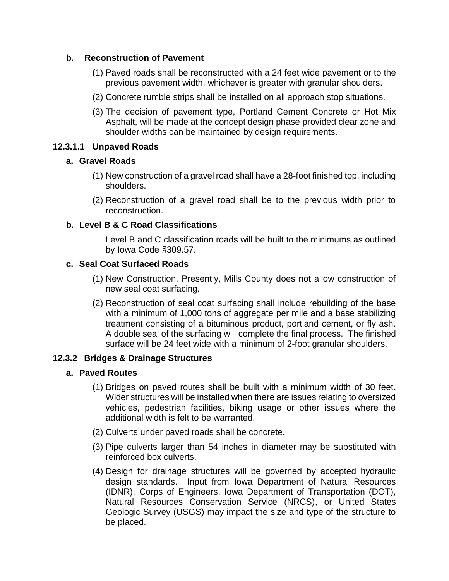## **b. Reconstruction of Pavement**

- (1) Paved roads shall be reconstructed with a 24 feet wide pavement or to the previous pavement width, whichever is greater with granular shoulders.
- (2) Concrete rumble strips shall be installed on all approach stop situations.
- (3) The decision of pavement type, Portland Cement Concrete or Hot Mix Asphalt, will be made at the concept design phase provided clear zone and shoulder widths can be maintained by design requirements.

## **12.3.1.1 Unpaved Roads**

## **a. Gravel Roads**

- (1) New construction of a gravel road shall have a 28-foot finished top, including shoulders.
- (2) Reconstruction of a gravel road shall be to the previous width prior to reconstruction.

## **b. Level B & C Road Classifications**

Level B and C classification roads will be built to the minimums as outlined by Iowa Code §309.57.

#### **c. Seal Coat Surfaced Roads**

- (1) New Construction. Presently, Mills County does not allow construction of new seal coat surfacing.
- (2) Reconstruction of seal coat surfacing shall include rebuilding of the base with a minimum of 1,000 tons of aggregate per mile and a base stabilizing treatment consisting of a bituminous product, portland cement, or fly ash. A double seal of the surfacing will complete the final process. The finished surface will be 24 feet wide with a minimum of 2-foot granular shoulders.

## **12.3.2 Bridges & Drainage Structures**

## **a. Paved Routes**

- (1) Bridges on paved routes shall be built with a minimum width of 30 feet. Wider structures will be installed when there are issues relating to oversized vehicles, pedestrian facilities, biking usage or other issues where the additional width is felt to be warranted.
- (2) Culverts under paved roads shall be concrete.
- (3) Pipe culverts larger than 54 inches in diameter may be substituted with reinforced box culverts.
- (4) Design for drainage structures will be governed by accepted hydraulic design standards. Input from Iowa Department of Natural Resources (IDNR), Corps of Engineers, Iowa Department of Transportation (DOT), Natural Resources Conservation Service (NRCS), or United States Geologic Survey (USGS) may impact the size and type of the structure to be placed.